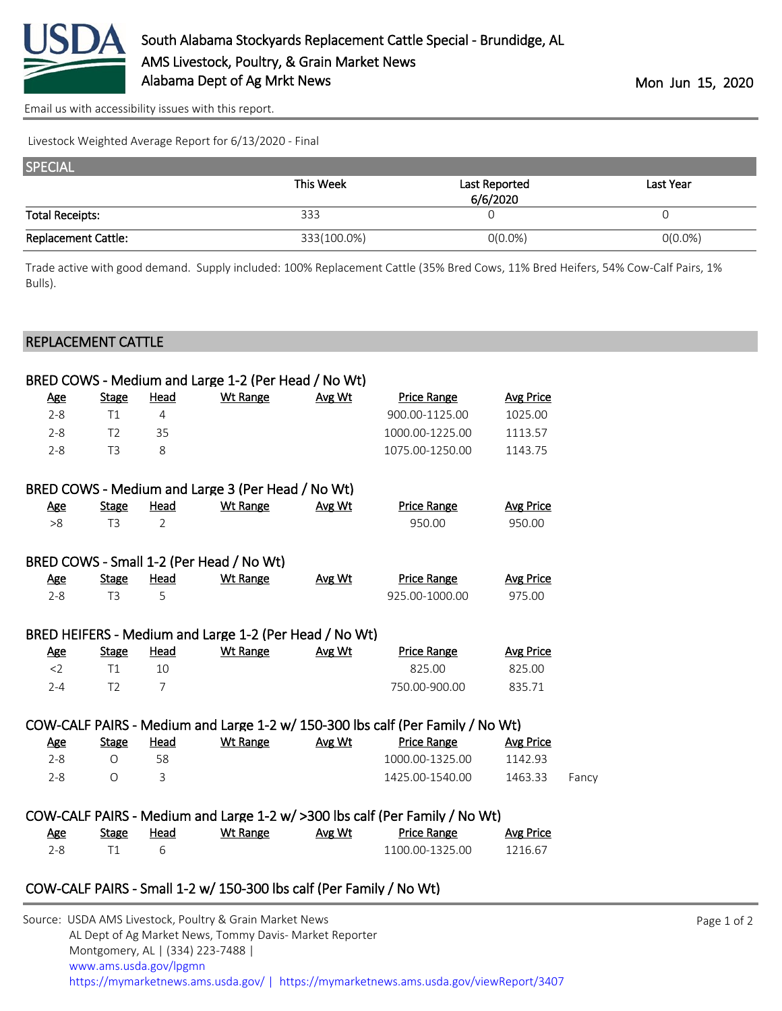

[Email us with accessibility issues with this report.](mailto:mars@ams.usda.gov?subject=508%20issue)

Livestock Weighted Average Report for 6/13/2020 - Final

| <b>SPECIAL</b>             |             |               |            |
|----------------------------|-------------|---------------|------------|
|                            | This Week   | Last Reported | Last Year  |
| <b>Total Receipts:</b>     | 333         | 6/6/2020      |            |
| <b>Replacement Cattle:</b> | 333(100.0%) | $O(0.0\%)$    | $0(0.0\%)$ |

Trade active with good demand. Supply included: 100% Replacement Cattle (35% Bred Cows, 11% Bred Heifers, 54% Cow-Calf Pairs, 1% Bulls).

## REPLACEMENT CATTLE

|            |                |                | BRED COWS - Medium and Large 1-2 (Per Head / No Wt)    |        |                                                                                |                  |       |
|------------|----------------|----------------|--------------------------------------------------------|--------|--------------------------------------------------------------------------------|------------------|-------|
| <u>Age</u> | <b>Stage</b>   | <u>Head</u>    | <b>Wt Range</b>                                        | Avg Wt | <b>Price Range</b>                                                             | <b>Avg Price</b> |       |
| $2 - 8$    | T1             | 4              |                                                        |        | 900.00-1125.00                                                                 | 1025.00          |       |
| $2 - 8$    | T <sub>2</sub> | 35             |                                                        |        | 1000.00-1225.00                                                                | 1113.57          |       |
| $2 - 8$    | T <sub>3</sub> | 8              |                                                        |        | 1075.00-1250.00                                                                | 1143.75          |       |
|            |                |                | BRED COWS - Medium and Large 3 (Per Head / No Wt)      |        |                                                                                |                  |       |
| <u>Age</u> | <b>Stage</b>   | <b>Head</b>    | <b>Wt Range</b>                                        | Avg Wt | <b>Price Range</b>                                                             | <b>Avg Price</b> |       |
| >8         | T <sub>3</sub> | $\overline{2}$ |                                                        |        | 950.00                                                                         | 950.00           |       |
|            |                |                | BRED COWS - Small 1-2 (Per Head / No Wt)               |        |                                                                                |                  |       |
| <u>Age</u> | <b>Stage</b>   | <u>Head</u>    | <b>Wt Range</b>                                        | Avg Wt | <b>Price Range</b>                                                             | <b>Avg Price</b> |       |
| $2 - 8$    | T <sub>3</sub> | 5              |                                                        |        | 925.00-1000.00                                                                 | 975.00           |       |
|            |                |                | BRED HEIFERS - Medium and Large 1-2 (Per Head / No Wt) |        |                                                                                |                  |       |
| <u>Age</u> | <b>Stage</b>   | <b>Head</b>    | <b>Wt Range</b>                                        | Avg Wt | <b>Price Range</b>                                                             | <b>Avg Price</b> |       |
| $<$ 2      | T1             | 10             |                                                        |        | 825.00                                                                         | 825.00           |       |
| $2 - 4$    | T <sub>2</sub> | $\overline{7}$ |                                                        |        | 750.00-900.00                                                                  | 835.71           |       |
|            |                |                |                                                        |        | COW-CALF PAIRS - Medium and Large 1-2 w/ 150-300 lbs calf (Per Family / No Wt) |                  |       |
| <u>Age</u> | <b>Stage</b>   | <u>Head</u>    | <b>Wt Range</b>                                        | Avg Wt | <b>Price Range</b>                                                             | <b>Avg Price</b> |       |
| $2 - 8$    | $\Omega$       | 58             |                                                        |        | 1000.00-1325.00                                                                | 1142.93          |       |
| $2 - 8$    | $\Omega$       | 3              |                                                        |        | 1425.00-1540.00                                                                | 1463.33          | Fancy |
|            |                |                |                                                        |        | COW-CALF PAIRS - Medium and Large 1-2 w/ >300 lbs calf (Per Family / No Wt)    |                  |       |
|            |                |                | Ago Stage Head Wit-Range Avg-Wit – Price-Range         |        |                                                                                | Ava Price        |       |

| Age | <b>Stage</b> | Head | Wt Range | Avg Wt | <b>Price Range</b> | Avg Price |
|-----|--------------|------|----------|--------|--------------------|-----------|
| א-י |              |      |          |        | 1100.00-1325.00    | 1216.67   |

## COW-CALF PAIRS - Small 1-2 w/ 150-300 lbs calf (Per Family / No Wt)

| Source: USDA AMS Livestock, Poultry & Grain Market News                                |
|----------------------------------------------------------------------------------------|
| AL Dept of Ag Market News, Tommy Davis- Market Reporter                                |
| Montgomery, AL   (334) 223-7488                                                        |
| www.ams.usda.gov/lpgmn                                                                 |
| https://mymarketnews.ams.usda.gov/   https://mymarketnews.ams.usda.gov/viewReport/3407 |